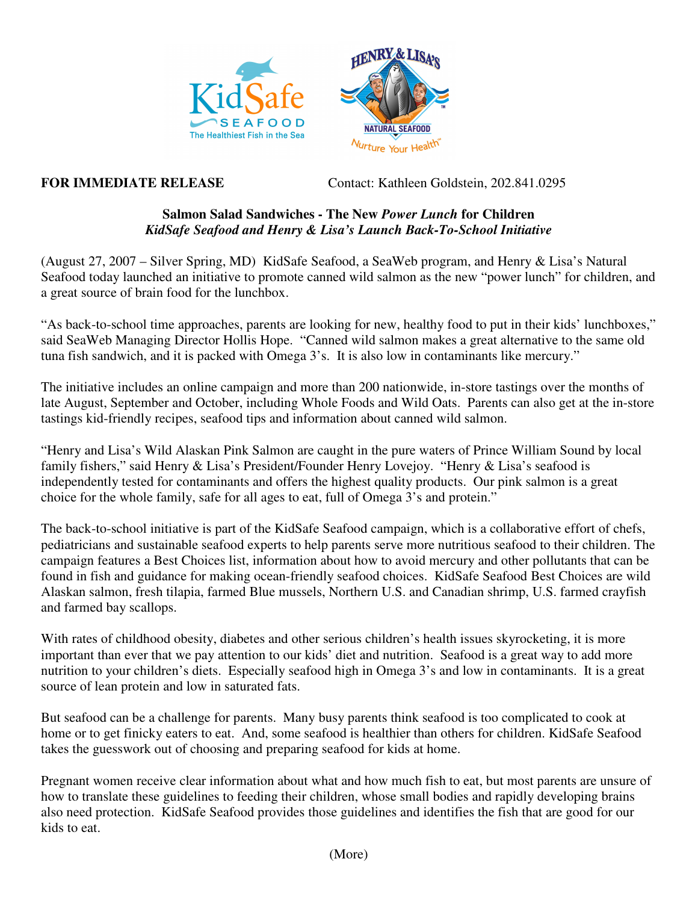



**FOR IMMEDIATE RELEASE** Contact: Kathleen Goldstein, 202.841.0295

## **Salmon Salad Sandwiches - The New** *Power Lunch* **for Children** *KidSafe Seafood and Henry & Lisa's Launch Back-To-School Initiative*

(August 27, 2007 – Silver Spring, MD) KidSafe Seafood, a SeaWeb program, and Henry & Lisa's Natural Seafood today launched an initiative to promote canned wild salmon as the new "power lunch" for children, and a great source of brain food for the lunchbox.

"As back-to-school time approaches, parents are looking for new, healthy food to put in their kids' lunchboxes," said SeaWeb Managing Director Hollis Hope. "Canned wild salmon makes a great alternative to the same old tuna fish sandwich, and it is packed with Omega 3's. It is also low in contaminants like mercury."

The initiative includes an online campaign and more than 200 nationwide, in-store tastings over the months of late August, September and October, including Whole Foods and Wild Oats. Parents can also get at the in-store tastings kid-friendly recipes, seafood tips and information about canned wild salmon.

"Henry and Lisa's Wild Alaskan Pink Salmon are caught in the pure waters of Prince William Sound by local family fishers," said Henry & Lisa's President/Founder Henry Lovejoy. "Henry & Lisa's seafood is independently tested for contaminants and offers the highest quality products. Our pink salmon is a great choice for the whole family, safe for all ages to eat, full of Omega 3's and protein."

The back-to-school initiative is part of the KidSafe Seafood campaign, which is a collaborative effort of chefs, pediatricians and sustainable seafood experts to help parents serve more nutritious seafood to their children. The campaign features a Best Choices list, information about how to avoid mercury and other pollutants that can be found in fish and guidance for making ocean-friendly seafood choices. KidSafe Seafood Best Choices are wild Alaskan salmon, fresh tilapia, farmed Blue mussels, Northern U.S. and Canadian shrimp, U.S. farmed crayfish and farmed bay scallops.

With rates of childhood obesity, diabetes and other serious children's health issues skyrocketing, it is more important than ever that we pay attention to our kids' diet and nutrition. Seafood is a great way to add more nutrition to your children's diets. Especially seafood high in Omega 3's and low in contaminants. It is a great source of lean protein and low in saturated fats.

But seafood can be a challenge for parents. Many busy parents think seafood is too complicated to cook at home or to get finicky eaters to eat. And, some seafood is healthier than others for children. KidSafe Seafood takes the guesswork out of choosing and preparing seafood for kids at home.

Pregnant women receive clear information about what and how much fish to eat, but most parents are unsure of how to translate these guidelines to feeding their children, whose small bodies and rapidly developing brains also need protection. KidSafe Seafood provides those guidelines and identifies the fish that are good for our kids to eat.